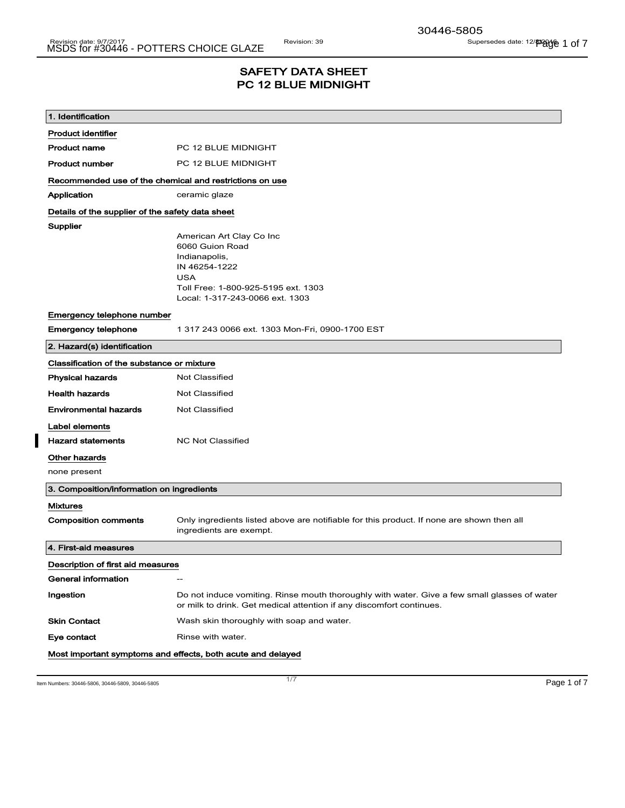## SAFETY DATA SHEET PC 12 BLUE MIDNIGHT

| 1. Identification                                       |                                                                                                                                                                       |  |
|---------------------------------------------------------|-----------------------------------------------------------------------------------------------------------------------------------------------------------------------|--|
| <b>Product identifier</b>                               |                                                                                                                                                                       |  |
| <b>Product name</b>                                     | PC 12 BLUE MIDNIGHT                                                                                                                                                   |  |
| <b>Product number</b>                                   | PC 12 BLUE MIDNIGHT                                                                                                                                                   |  |
| Recommended use of the chemical and restrictions on use |                                                                                                                                                                       |  |
| Application                                             | ceramic glaze                                                                                                                                                         |  |
| Details of the supplier of the safety data sheet        |                                                                                                                                                                       |  |
| Supplier                                                | American Art Clay Co Inc<br>6060 Guion Road<br>Indianapolis,<br>IN 46254-1222<br><b>USA</b><br>Toll Free: 1-800-925-5195 ext. 1303<br>Local: 1-317-243-0066 ext. 1303 |  |
| Emergency telephone number                              |                                                                                                                                                                       |  |
| <b>Emergency telephone</b>                              | 1 317 243 0066 ext. 1303 Mon-Fri, 0900-1700 EST                                                                                                                       |  |
| 2. Hazard(s) identification                             |                                                                                                                                                                       |  |
| Classification of the substance or mixture              |                                                                                                                                                                       |  |
| <b>Physical hazards</b>                                 | Not Classified                                                                                                                                                        |  |
| <b>Health hazards</b>                                   | Not Classified                                                                                                                                                        |  |
| <b>Environmental hazards</b>                            | <b>Not Classified</b>                                                                                                                                                 |  |
| Label elements                                          |                                                                                                                                                                       |  |
| <b>Hazard statements</b>                                | <b>NC Not Classified</b>                                                                                                                                              |  |
| Other hazards                                           |                                                                                                                                                                       |  |
| none present                                            |                                                                                                                                                                       |  |
| 3. Composition/information on ingredients               |                                                                                                                                                                       |  |
| <b>Mixtures</b>                                         |                                                                                                                                                                       |  |
| <b>Composition comments</b>                             | Only ingredients listed above are notifiable for this product. If none are shown then all<br>ingredients are exempt.                                                  |  |
| 4. First-aid measures                                   |                                                                                                                                                                       |  |
| Description of first aid measures                       |                                                                                                                                                                       |  |
| General information                                     | $\hspace{0.05cm} -\hspace{0.05cm}$                                                                                                                                    |  |
| Ingestion                                               | Do not induce vomiting. Rinse mouth thoroughly with water. Give a few small glasses of water<br>or milk to drink. Get medical attention if any discomfort continues.  |  |
| <b>Skin Contact</b>                                     | Wash skin thoroughly with soap and water.                                                                                                                             |  |
| Eye contact                                             | Rinse with water.                                                                                                                                                     |  |
|                                                         | Most important symptoms and effects, both acute and delayed                                                                                                           |  |

Item Numbers: 30446-5806, 30446-5809, 30446-5805 Page 1 of 7

 $\blacksquare$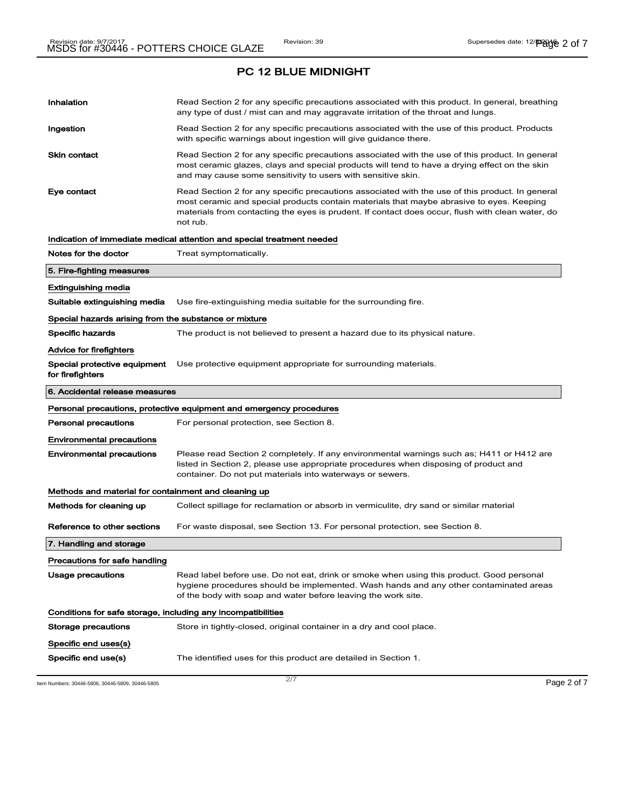# Inhalation **Read Section 2 for any specific precautions associated with this product. In general, breathing** any type of dust / mist can and may aggravate irritation of the throat and lungs. Ingestion **Read Section 2 for any specific precautions associated with the use of this product. Products** with specific warnings about ingestion will give guidance there. Skin contact **Read Section 2 for any specific precautions associated with the use of this product. In general** most ceramic glazes, clays and special products will tend to have a drying effect on the skin and may cause some sensitivity to users with sensitive skin. Eye contact **Read Section 2 for any specific precautions associated with the use of this product. In general** most ceramic and special products contain materials that maybe abrasive to eyes. Keeping materials from contacting the eyes is prudent. If contact does occur, flush with clean water, do not rub. Indication of immediate medical attention and special treatment needed Notes for the doctor Treat symptomatically. 5. Fire-fighting measures Extinguishing media Suitable extinguishing media Use fire-extinguishing media suitable for the surrounding fire. Special hazards arising from the substance or mixture Specific hazards The product is not believed to present a hazard due to its physical nature. Advice for firefighters Special protective equipment for firefighters Use protective equipment appropriate for surrounding materials. 6. Accidental release measures Personal precautions, protective equipment and emergency procedures **Personal precautions** For personal protection, see Section 8. Environmental precautions Environmental precautions Please read Section 2 completely. If any environmental warnings such as; H411 or H412 are listed in Section 2, please use appropriate procedures when disposing of product and container. Do not put materials into waterways or sewers. Methods and material for containment and cleaning up Methods for cleaning up Collect spillage for reclamation or absorb in vermiculite, dry sand or similar material Reference to other sections For waste disposal, see Section 13. For personal protection, see Section 8. 7. Handling and storage Precautions for safe handling Usage precautions **Read label before use. Do not eat, drink or smoke when using this product. Good personal** hygiene procedures should be implemented. Wash hands and any other contaminated areas of the body with soap and water before leaving the work site. Conditions for safe storage, including any incompatibilities Storage precautions Store in tightly-closed, original container in a dry and cool place. Specific end uses(s) Specific end use(s) The identified uses for this product are detailed in Section 1.

Item Numbers: 30446-5806, 30446-5809, 30446-5805 Page 2 of 7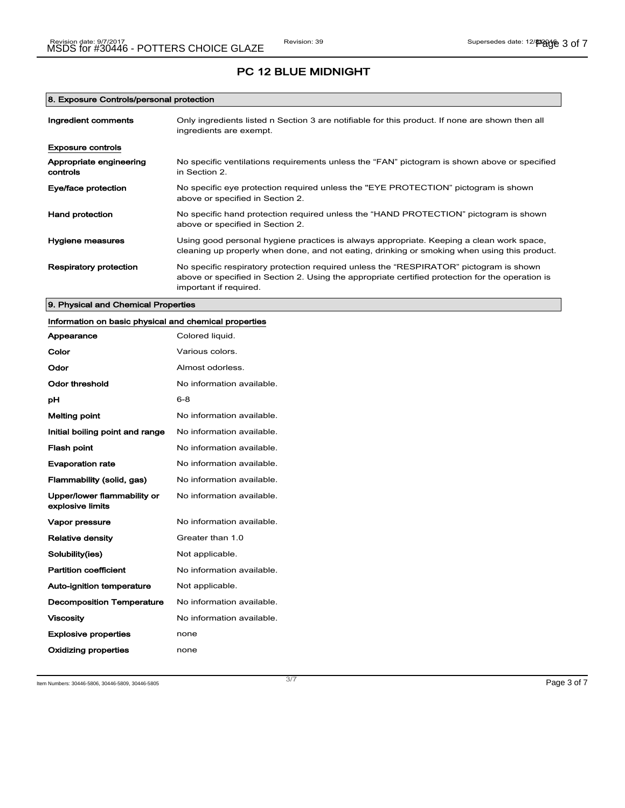### 8. Exposure Controls/personal protection

| Ingredient comments                 | Only ingredients listed n Section 3 are notifiable for this product. If none are shown then all<br>ingredients are exempt.                                                                                           |
|-------------------------------------|----------------------------------------------------------------------------------------------------------------------------------------------------------------------------------------------------------------------|
| <b>Exposure controls</b>            |                                                                                                                                                                                                                      |
| Appropriate engineering<br>controls | No specific ventilations requirements unless the "FAN" pictogram is shown above or specified<br>in Section 2.                                                                                                        |
| Eye/face protection                 | No specific eye protection required unless the "EYE PROTECTION" pictogram is shown<br>above or specified in Section 2.                                                                                               |
| <b>Hand protection</b>              | No specific hand protection required unless the "HAND PROTECTION" pictogram is shown<br>above or specified in Section 2.                                                                                             |
| Hygiene measures                    | Using good personal hygiene practices is always appropriate. Keeping a clean work space,<br>cleaning up properly when done, and not eating, drinking or smoking when using this product.                             |
| <b>Respiratory protection</b>       | No specific respiratory protection required unless the "RESPIRATOR" pictogram is shown<br>above or specified in Section 2. Using the appropriate certified protection for the operation is<br>important if required. |

### 9. Physical and Chemical Properties

| Information on basic physical and chemical properties |                           |
|-------------------------------------------------------|---------------------------|
| Appearance                                            | Colored liquid.           |
| Color                                                 | Various colors.           |
| Odor                                                  | Almost odorless.          |
| <b>Odor threshold</b>                                 | No information available. |
| рH                                                    | $6 - 8$                   |
| <b>Melting point</b>                                  | No information available. |
| Initial boiling point and range                       | No information available. |
| <b>Flash point</b>                                    | No information available. |
| <b>Evaporation rate</b>                               | No information available. |
| Flammability (solid, gas)                             | No information available. |
| Upper/lower flammability or<br>explosive limits       | No information available. |
| Vapor pressure                                        | No information available. |
| <b>Relative density</b>                               | Greater than 1.0          |
| Solubility(ies)                                       | Not applicable.           |
| <b>Partition coefficient</b>                          | No information available. |
| Auto-ignition temperature                             | Not applicable.           |
| <b>Decomposition Temperature</b>                      | No information available. |
| <b>Viscosity</b>                                      | No information available. |
| <b>Explosive properties</b>                           | none                      |
| <b>Oxidizing properties</b>                           | none                      |

Item Numbers: 30446-5806, 30446-5809, 30446-5805 Page 3 of 7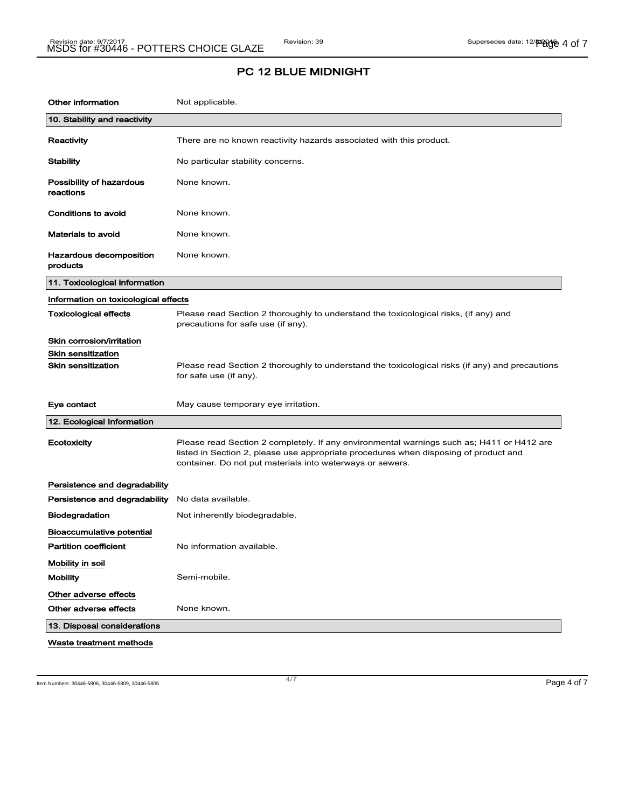| <b>Other information</b>              | Not applicable.                                                                                                                                                                                                                                |
|---------------------------------------|------------------------------------------------------------------------------------------------------------------------------------------------------------------------------------------------------------------------------------------------|
| 10. Stability and reactivity          |                                                                                                                                                                                                                                                |
| Reactivity                            | There are no known reactivity hazards associated with this product.                                                                                                                                                                            |
| Stability                             | No particular stability concerns.                                                                                                                                                                                                              |
| Possibility of hazardous<br>reactions | None known.                                                                                                                                                                                                                                    |
| <b>Conditions to avoid</b>            | None known.                                                                                                                                                                                                                                    |
| <b>Materials to avoid</b>             | None known.                                                                                                                                                                                                                                    |
| Hazardous decomposition<br>products   | None known.                                                                                                                                                                                                                                    |
| 11. Toxicological information         |                                                                                                                                                                                                                                                |
| Information on toxicological effects  |                                                                                                                                                                                                                                                |
| <b>Toxicological effects</b>          | Please read Section 2 thoroughly to understand the toxicological risks, (if any) and<br>precautions for safe use (if any).                                                                                                                     |
| Skin corrosion/irritation             |                                                                                                                                                                                                                                                |
| <b>Skin sensitization</b>             |                                                                                                                                                                                                                                                |
| Skin sensitization                    | Please read Section 2 thoroughly to understand the toxicological risks (if any) and precautions<br>for safe use (if any).                                                                                                                      |
| Eye contact                           | May cause temporary eye irritation.                                                                                                                                                                                                            |
| 12. Ecological Information            |                                                                                                                                                                                                                                                |
| Ecotoxicity                           | Please read Section 2 completely. If any environmental warnings such as; H411 or H412 are<br>listed in Section 2, please use appropriate procedures when disposing of product and<br>container. Do not put materials into waterways or sewers. |
| Persistence and degradability         |                                                                                                                                                                                                                                                |
| Persistence and degradability         | No data available.                                                                                                                                                                                                                             |
| Biodegradation                        | Not inherently biodegradable.                                                                                                                                                                                                                  |
| <b>Bioaccumulative potential</b>      |                                                                                                                                                                                                                                                |
| <b>Partition coefficient</b>          | No information available.                                                                                                                                                                                                                      |
| Mobility in soil                      |                                                                                                                                                                                                                                                |
| <b>Mobility</b>                       | Semi-mobile.                                                                                                                                                                                                                                   |
| Other adverse effects                 |                                                                                                                                                                                                                                                |
| Other adverse effects                 | None known.                                                                                                                                                                                                                                    |
| 13. Disposal considerations           |                                                                                                                                                                                                                                                |
| Waste treatment methods               |                                                                                                                                                                                                                                                |

Item Numbers: 30446-5806, 30446-5809, 30446-5805 Page 4 of 7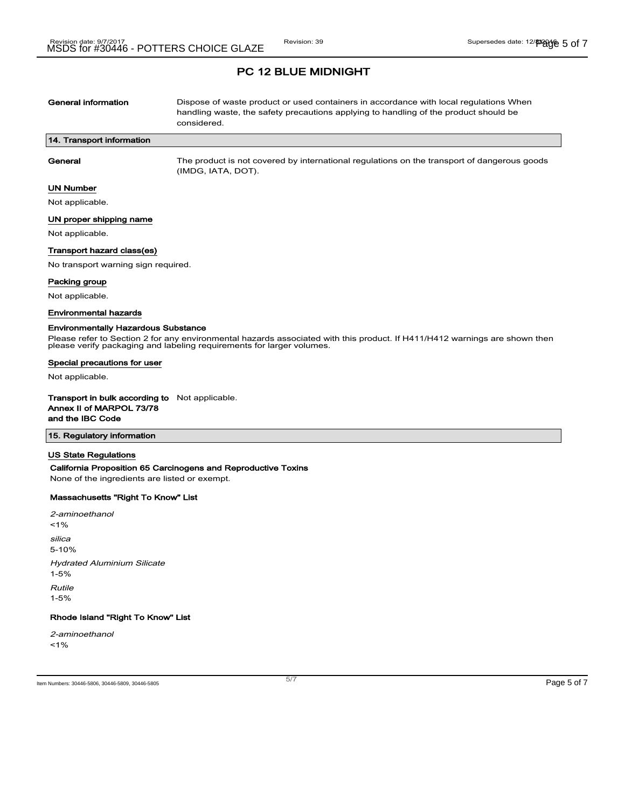| General information       | Dispose of waste product or used containers in accordance with local regulations When<br>handling waste, the safety precautions applying to handling of the product should be<br>considered. |
|---------------------------|----------------------------------------------------------------------------------------------------------------------------------------------------------------------------------------------|
| 14. Transport information |                                                                                                                                                                                              |
| General                   | The product is not covered by international regulations on the transport of dangerous goods<br>(IMDG, IATA, DOT).                                                                            |
| UN Number                 |                                                                                                                                                                                              |

Not applicable.

### UN proper shipping name

Not applicable.

#### Transport hazard class(es)

No transport warning sign required.

#### Packing group

Not applicable.

#### Environmental hazards

#### Environmentally Hazardous Substance

Please refer to Section 2 for any environmental hazards associated with this product. If H411/H412 warnings are shown then please verify packaging and labeling requirements for larger volumes.

#### Special precautions for user

Not applicable.

Transport in bulk according to Not applicable. Annex II of MARPOL 73/78 and the IBC Code

#### 15. Regulatory information

#### US State Regulations

#### California Proposition 65 Carcinogens and Reproductive Toxins

None of the ingredients are listed or exempt.

#### Massachusetts "Right To Know" List

2-aminoethanol  $1%$ silica 5-10% Hydrated Aluminium Silicate 1-5% Rutile 1-5%

## Rhode Island "Right To Know" List

2-aminoethanol  $1%$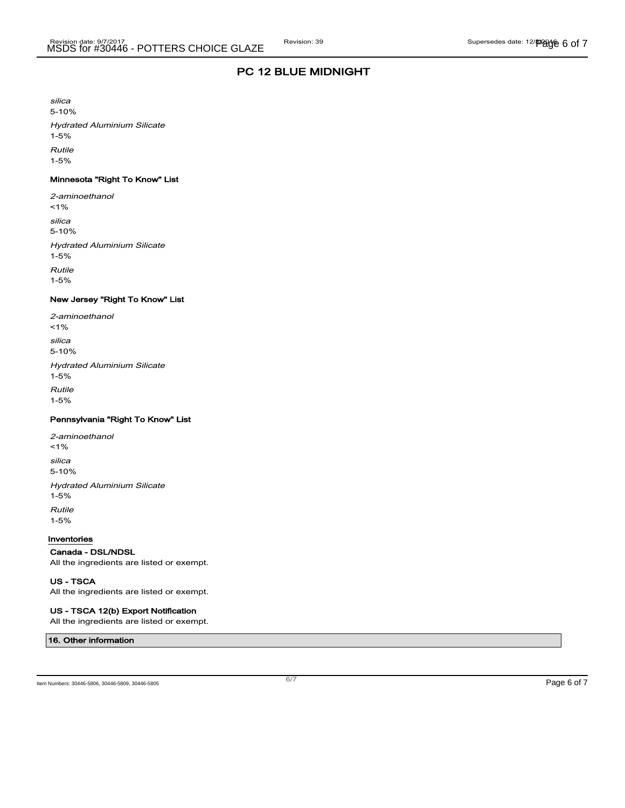silica

5-10% Hydrated Aluminium Silicate 1-5%

Rutile

1-5%

## Minnesota "Right To Know" List

2-aminoethanol  $1%$ silica 5-10% Hydrated Aluminium Silicate 1-5% Rutile 1-5%

### New Jersey "Right To Know" List

| 2-aminoethanol<br>$1\%$                        |
|------------------------------------------------|
| silica<br>$5 - 10%$                            |
| <b>Hydrated Aluminium Silicate</b><br>$1 - 5%$ |
| <b>Rutile</b><br>$1 - 5%$                      |

### Pennsylvania "Right To Know" List

2-aminoethanol  $1%$ silica 5-10% Hydrated Aluminium Silicate 1-5% Rutile 1-5%

#### Inventories

### Canada - DSL/NDSL

All the ingredients are listed or exempt.

#### US - TSCA

All the ingredients are listed or exempt.

### US - TSCA 12(b) Export Notification

All the ingredients are listed or exempt.

### 16. Other information